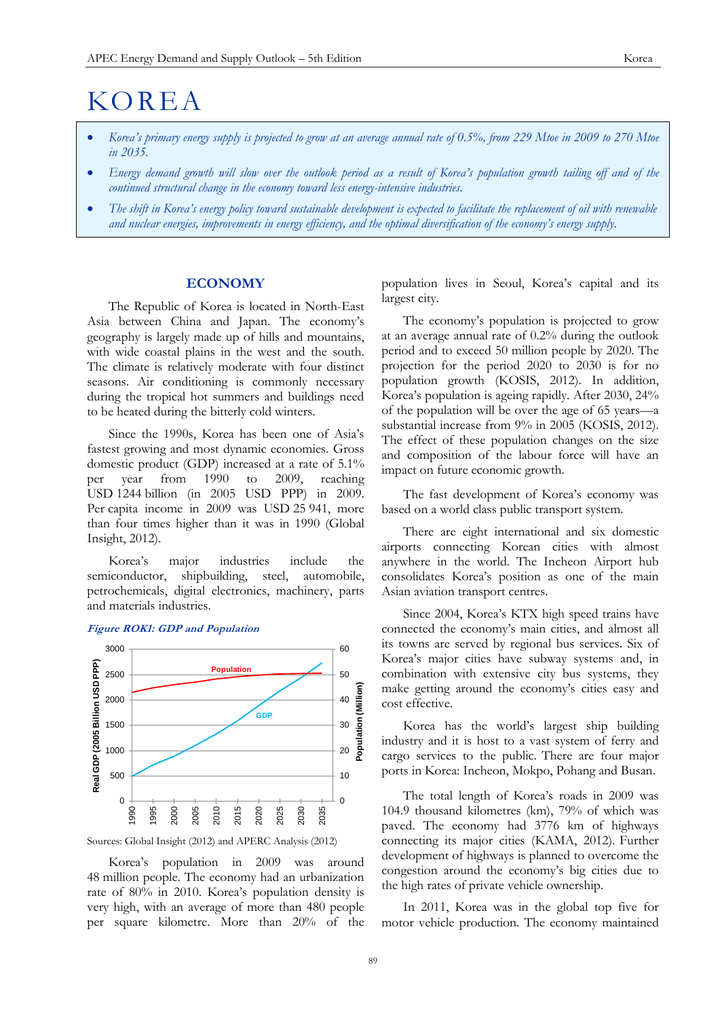# KOREA

- *Korea's primary energy supply is projected to grow at an average annual rate of 0.5%, from 229 Mtoe in 2009 to 270 Mtoe in 2035.*
- *Energy demand growth will slow over the outlook period as a result of Korea's population growth tailing off and of the continued structural change in the economy toward less energy-intensive industries.*
- *The shift in Korea's energy policy toward sustainable development is expected to facilitate the replacement of oil with renewable and nuclear energies, improvements in energy efficiency, and the optimal diversification of the economy's energy supply.*

# **ECONOMY**

The Republic of Korea is located in North-East Asia between China and Japan. The economy's geography is largely made up of hills and mountains, with wide coastal plains in the west and the south. The climate is relatively moderate with four distinct seasons. Air conditioning is commonly necessary during the tropical hot summers and buildings need to be heated during the bitterly cold winters.

Since the 1990s, Korea has been one of Asia's fastest growing and most dynamic economies. Gross domestic product (GDP) increased at a rate of 5.1% per year from 1990 to 2009, reaching USD 1244 billion (in 2005 USD PPP) in 2009. Per capita income in 2009 was USD 25 941, more than four times higher than it was in 1990 (Global Insight, 2012).

Korea's major industries include the semiconductor, shipbuilding, steel, automobile, petrochemicals, digital electronics, machinery, parts and materials industries.

## **Figure ROK1: GDP and Population**



Sources: Global Insight (2012) and APERC Analysis (2012)

Korea's population in 2009 was around 48 million people. The economy had an urbanization rate of 80% in 2010. Korea's population density is very high, with an average of more than 480 people per square kilometre. More than 20% of the population lives in Seoul, Korea's capital and its largest city.

The economy's population is projected to grow at an average annual rate of 0.2% during the outlook period and to exceed 50 million people by 2020. The projection for the period 2020 to 2030 is for no population growth (KOSIS, 2012). In addition, Korea's population is ageing rapidly. After 2030, 24% of the population will be over the age of 65 years—a substantial increase from 9% in 2005 (KOSIS, 2012). The effect of these population changes on the size and composition of the labour force will have an impact on future economic growth.

The fast development of Korea's economy was based on a world class public transport system.

There are eight international and six domestic airports connecting Korean cities with almost anywhere in the world. The Incheon Airport hub consolidates Korea's position as one of the main Asian aviation transport centres.

Since 2004, Korea's KTX high speed trains have connected the economy's main cities, and almost all its towns are served by regional bus services. Six of Korea's major cities have subway systems and, in combination with extensive city bus systems, they make getting around the economy's cities easy and cost effective.

Korea has the world's largest ship building industry and it is host to a vast system of ferry and cargo services to the public. There are four major ports in Korea: Incheon, Mokpo, Pohang and Busan.

The total length of Korea's roads in 2009 was 104.9 thousand kilometres (km), 79% of which was paved. The economy had 3776 km of highways connecting its major cities (KAMA, 2012). Further development of highways is planned to overcome the congestion around the economy's big cities due to the high rates of private vehicle ownership.

In 2011, Korea was in the global top five for motor vehicle production. The economy maintained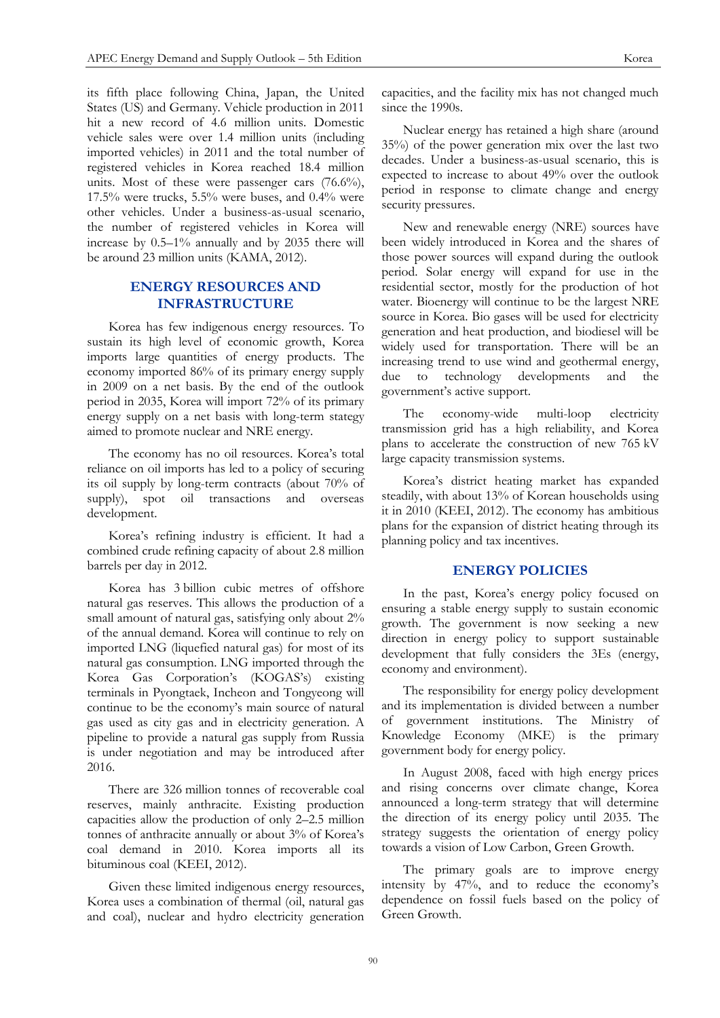its fifth place following China, Japan, the United States (US) and Germany. Vehicle production in 2011 hit a new record of 4.6 million units. Domestic vehicle sales were over 1.4 million units (including imported vehicles) in 2011 and the total number of registered vehicles in Korea reached 18.4 million units. Most of these were passenger cars (76.6%), 17.5% were trucks, 5.5% were buses, and 0.4% were other vehicles. Under a business-as-usual scenario, the number of registered vehicles in Korea will increase by 0.5–1% annually and by 2035 there will be around 23 million units (KAMA, 2012).

# **ENERGY RESOURCES AND INFRASTRUCTURE**

Korea has few indigenous energy resources. To sustain its high level of economic growth, Korea imports large quantities of energy products. The economy imported 86% of its primary energy supply in 2009 on a net basis. By the end of the outlook period in 2035, Korea will import 72% of its primary energy supply on a net basis with long-term stategy aimed to promote nuclear and NRE energy.

The economy has no oil resources. Korea's total reliance on oil imports has led to a policy of securing its oil supply by long-term contracts (about 70% of supply), spot oil transactions and overseas development.

Korea's refining industry is efficient. It had a combined crude refining capacity of about 2.8 million barrels per day in 2012.

Korea has 3 billion cubic metres of offshore natural gas reserves. This allows the production of a small amount of natural gas, satisfying only about 2% of the annual demand. Korea will continue to rely on imported LNG (liquefied natural gas) for most of its natural gas consumption. LNG imported through the Korea Gas Corporation's (KOGAS's) existing terminals in Pyongtaek, Incheon and Tongyeong will continue to be the economy's main source of natural gas used as city gas and in electricity generation. A pipeline to provide a natural gas supply from Russia is under negotiation and may be introduced after 2016.

There are 326 million tonnes of recoverable coal reserves, mainly anthracite. Existing production capacities allow the production of only 2–2.5 million tonnes of anthracite annually or about 3% of Korea's coal demand in 2010. Korea imports all its bituminous coal (KEEI, 2012).

Given these limited indigenous energy resources, Korea uses a combination of thermal (oil, natural gas and coal), nuclear and hydro electricity generation capacities, and the facility mix has not changed much since the 1990s.

Nuclear energy has retained a high share (around 35%) of the power generation mix over the last two decades. Under a business-as-usual scenario, this is expected to increase to about 49% over the outlook period in response to climate change and energy security pressures.

New and renewable energy (NRE) sources have been widely introduced in Korea and the shares of those power sources will expand during the outlook period. Solar energy will expand for use in the residential sector, mostly for the production of hot water. Bioenergy will continue to be the largest NRE source in Korea. Bio gases will be used for electricity generation and heat production, and biodiesel will be widely used for transportation. There will be an increasing trend to use wind and geothermal energy, due to technology developments and the government's active support.

The economy-wide multi-loop electricity transmission grid has a high reliability, and Korea plans to accelerate the construction of new 765 kV large capacity transmission systems.

Korea's district heating market has expanded steadily, with about 13% of Korean households using it in 2010 (KEEI, 2012). The economy has ambitious plans for the expansion of district heating through its planning policy and tax incentives.

# **ENERGY POLICIES**

In the past, Korea's energy policy focused on ensuring a stable energy supply to sustain economic growth. The government is now seeking a new direction in energy policy to support sustainable development that fully considers the 3Es (energy, economy and environment).

The responsibility for energy policy development and its implementation is divided between a number of government institutions. The Ministry of Knowledge Economy (MKE) is the primary government body for energy policy.

In August 2008, faced with high energy prices and rising concerns over climate change, Korea announced a long-term strategy that will determine the direction of its energy policy until 2035. The strategy suggests the orientation of energy policy towards a vision of Low Carbon, Green Growth.

The primary goals are to improve energy intensity by 47%, and to reduce the economy's dependence on fossil fuels based on the policy of Green Growth.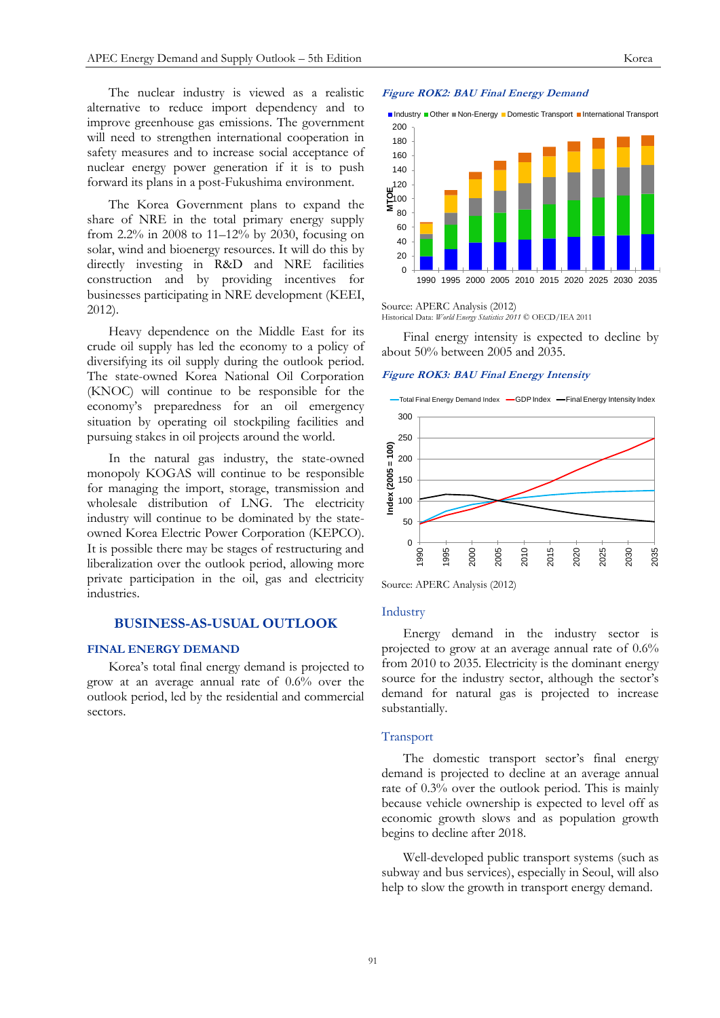The nuclear industry is viewed as a realistic alternative to reduce import dependency and to improve greenhouse gas emissions. The government will need to strengthen international cooperation in safety measures and to increase social acceptance of nuclear energy power generation if it is to push forward its plans in a post-Fukushima environment.

The Korea Government plans to expand the share of NRE in the total primary energy supply from 2.2% in 2008 to 11–12% by 2030, focusing on solar, wind and bioenergy resources. It will do this by directly investing in R&D and NRE facilities construction and by providing incentives for businesses participating in NRE development (KEEI, 2012).

Heavy dependence on the Middle East for its crude oil supply has led the economy to a policy of diversifying its oil supply during the outlook period. The state-owned Korea National Oil Corporation (KNOC) will continue to be responsible for the economy's preparedness for an oil emergency situation by operating oil stockpiling facilities and pursuing stakes in oil projects around the world.

In the natural gas industry, the state-owned monopoly KOGAS will continue to be responsible for managing the import, storage, transmission and wholesale distribution of LNG. The electricity industry will continue to be dominated by the stateowned Korea Electric Power Corporation (KEPCO). It is possible there may be stages of restructuring and liberalization over the outlook period, allowing more private participation in the oil, gas and electricity industries.

## **BUSINESS-AS-USUAL OUTLOOK**

## **FINAL ENERGY DEMAND**

Korea's total final energy demand is projected to grow at an average annual rate of 0.6% over the outlook period, led by the residential and commercial sectors.

#### **Figure ROK2: BAU Final Energy Demand**



Source: APERC Analysis (2012) Historical Data: *World Energy Statistics 2011* © OECD/IEA 2011

Final energy intensity is expected to decline by about 50% between 2005 and 2035.

#### **Figure ROK3: BAU Final Energy Intensity**



Source: APERC Analysis (2012)

#### Industry

Energy demand in the industry sector is projected to grow at an average annual rate of 0.6% from 2010 to 2035. Electricity is the dominant energy source for the industry sector, although the sector's demand for natural gas is projected to increase substantially.

#### Transport

The domestic transport sector's final energy demand is projected to decline at an average annual rate of 0.3% over the outlook period. This is mainly because vehicle ownership is expected to level off as economic growth slows and as population growth begins to decline after 2018.

Well-developed public transport systems (such as subway and bus services), especially in Seoul, will also help to slow the growth in transport energy demand.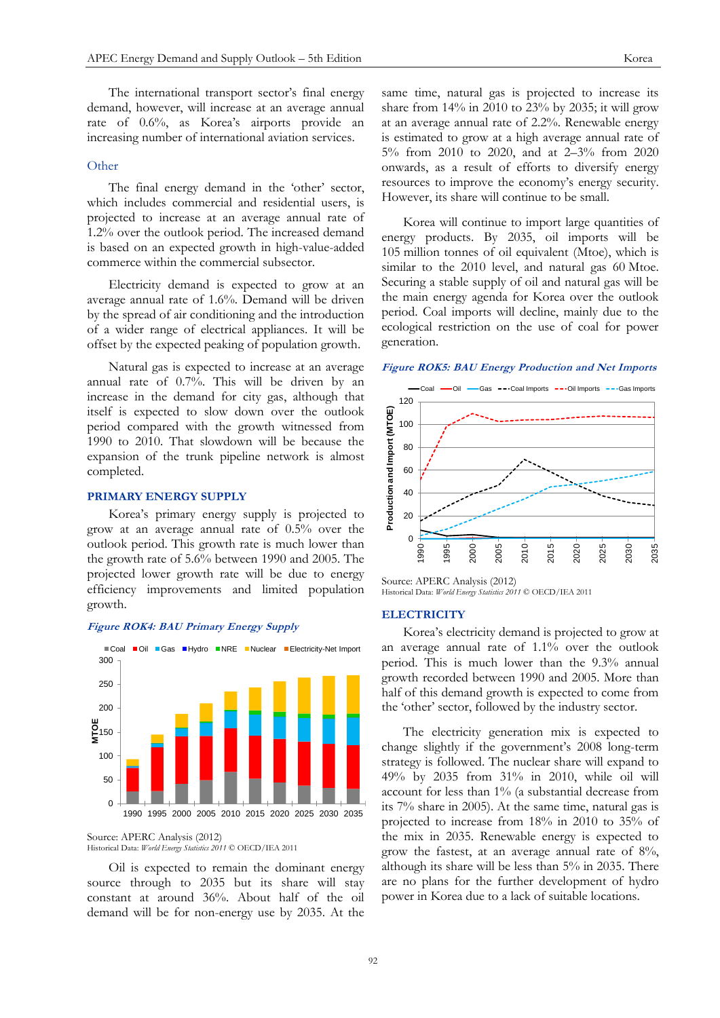The international transport sector's final energy demand, however, will increase at an average annual rate of 0.6%, as Korea's airports provide an increasing number of international aviation services.

# **Other**

The final energy demand in the 'other' sector, which includes commercial and residential users, is projected to increase at an average annual rate of 1.2% over the outlook period. The increased demand is based on an expected growth in high-value-added commerce within the commercial subsector.

Electricity demand is expected to grow at an average annual rate of 1.6%. Demand will be driven by the spread of air conditioning and the introduction of a wider range of electrical appliances. It will be offset by the expected peaking of population growth.

Natural gas is expected to increase at an average annual rate of 0.7%. This will be driven by an increase in the demand for city gas, although that itself is expected to slow down over the outlook period compared with the growth witnessed from 1990 to 2010. That slowdown will be because the expansion of the trunk pipeline network is almost completed.

# **PRIMARY ENERGY SUPPLY**

Korea's primary energy supply is projected to grow at an average annual rate of 0.5% over the outlook period. This growth rate is much lower than the growth rate of 5.6% between 1990 and 2005. The projected lower growth rate will be due to energy efficiency improvements and limited population growth.





Source: APERC Analysis (2012) Historical Data: *World Energy Statistics 2011* © OECD/IEA 2011

Oil is expected to remain the dominant energy source through to 2035 but its share will stay constant at around 36%. About half of the oil demand will be for non-energy use by 2035. At the same time, natural gas is projected to increase its share from 14% in 2010 to 23% by 2035; it will grow at an average annual rate of 2.2%. Renewable energy is estimated to grow at a high average annual rate of 5% from 2010 to 2020, and at 2–3% from 2020 onwards, as a result of efforts to diversify energy resources to improve the economy's energy security. However, its share will continue to be small.

Korea will continue to import large quantities of energy products. By 2035, oil imports will be 105 million tonnes of oil equivalent (Mtoe), which is similar to the 2010 level, and natural gas 60 Mtoe. Securing a stable supply of oil and natural gas will be the main energy agenda for Korea over the outlook period. Coal imports will decline, mainly due to the ecological restriction on the use of coal for power generation.

#### **Figure ROK5: BAU Energy Production and Net Imports**



Source: APERC Analysis (2012) Historical Data: *World Energy Statistics 2011* © OECD/IEA 2011

#### **ELECTRICITY**

Korea's electricity demand is projected to grow at an average annual rate of 1.1% over the outlook period. This is much lower than the 9.3% annual growth recorded between 1990 and 2005. More than half of this demand growth is expected to come from the 'other' sector, followed by the industry sector.

The electricity generation mix is expected to change slightly if the government's 2008 long-term strategy is followed. The nuclear share will expand to 49% by 2035 from 31% in 2010, while oil will account for less than 1% (a substantial decrease from its 7% share in 2005). At the same time, natural gas is projected to increase from 18% in 2010 to 35% of the mix in 2035. Renewable energy is expected to grow the fastest, at an average annual rate of 8%, although its share will be less than 5% in 2035. There are no plans for the further development of hydro power in Korea due to a lack of suitable locations.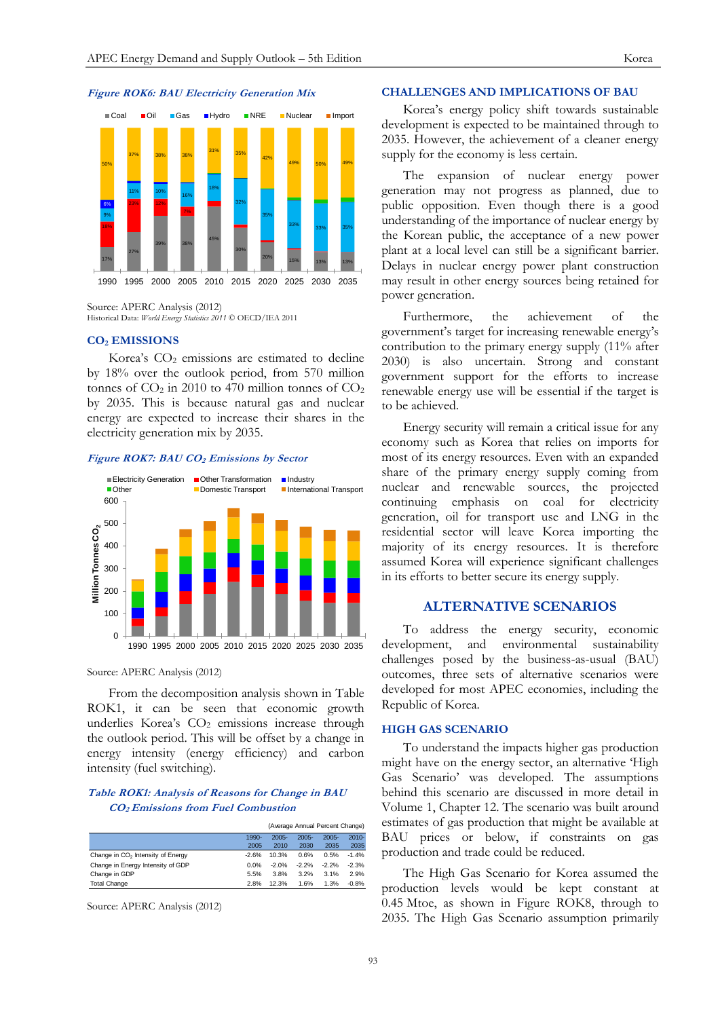

Source: APERC Analysis (2012) Historical Data: *World Energy Statistics 2011* © OECD/IEA 2011

## **CO<sup>2</sup> EMISSIONS**

Korea's  $CO<sub>2</sub>$  emissions are estimated to decline by 18% over the outlook period, from 570 million tonnes of  $CO<sub>2</sub>$  in 2010 to 470 million tonnes of  $CO<sub>2</sub>$ by 2035. This is because natural gas and nuclear energy are expected to increase their shares in the electricity generation mix by 2035.





Source: APERC Analysis (2012)

From the decomposition analysis shown in Table ROK1, it can be seen that economic growth underlies Korea's  $CO<sub>2</sub>$  emissions increase through the outlook period. This will be offset by a change in energy intensity (energy efficiency) and carbon intensity (fuel switching).

### **Table ROK1: Analysis of Reasons for Change in BAU CO2 Emissions from Fuel Combustion**

|                                               |         | (Average Annual Percent Change) |          |          |          |
|-----------------------------------------------|---------|---------------------------------|----------|----------|----------|
|                                               | 1990-   | $2005 -$                        | $2005 -$ | $2005 -$ | $2010 -$ |
|                                               | 2005    | 2010                            | 2030     | 2035     | 2035     |
| Change in CO <sub>2</sub> Intensity of Energy | $-2.6%$ | 10.3%                           | 0.6%     | 0.5%     | $-1.4%$  |
| Change in Energy Intensity of GDP             | 0.0%    | $-2.0%$                         | $-2.2%$  | $-2.2%$  | $-2.3%$  |
| Change in GDP                                 | 5.5%    | 3.8%                            | 3.2%     | 3.1%     | 2.9%     |
| <b>Total Change</b>                           | 2.8%    | 12.3%                           | 1.6%     | 1.3%     | $-0.8%$  |

Source: APERC Analysis (2012)

# **CHALLENGES AND IMPLICATIONS OF BAU**

Korea's energy policy shift towards sustainable development is expected to be maintained through to 2035. However, the achievement of a cleaner energy supply for the economy is less certain.

The expansion of nuclear energy power generation may not progress as planned, due to public opposition. Even though there is a good understanding of the importance of nuclear energy by the Korean public, the acceptance of a new power plant at a local level can still be a significant barrier. Delays in nuclear energy power plant construction may result in other energy sources being retained for power generation.

Furthermore, the achievement of the government's target for increasing renewable energy's contribution to the primary energy supply (11% after 2030) is also uncertain. Strong and constant government support for the efforts to increase renewable energy use will be essential if the target is to be achieved.

Energy security will remain a critical issue for any economy such as Korea that relies on imports for most of its energy resources. Even with an expanded share of the primary energy supply coming from nuclear and renewable sources, the projected continuing emphasis on coal for electricity generation, oil for transport use and LNG in the residential sector will leave Korea importing the majority of its energy resources. It is therefore assumed Korea will experience significant challenges in its efforts to better secure its energy supply.

# **ALTERNATIVE SCENARIOS**

To address the energy security, economic development, and environmental sustainability challenges posed by the business-as-usual (BAU) outcomes, three sets of alternative scenarios were developed for most APEC economies, including the Republic of Korea.

#### **HIGH GAS SCENARIO**

To understand the impacts higher gas production might have on the energy sector, an alternative 'High Gas Scenario' was developed. The assumptions behind this scenario are discussed in more detail in Volume 1, Chapter 12. The scenario was built around estimates of gas production that might be available at BAU prices or below, if constraints on gas production and trade could be reduced.

The High Gas Scenario for Korea assumed the production levels would be kept constant at 0.45 Mtoe, as shown in Figure ROK8, through to 2035. The High Gas Scenario assumption primarily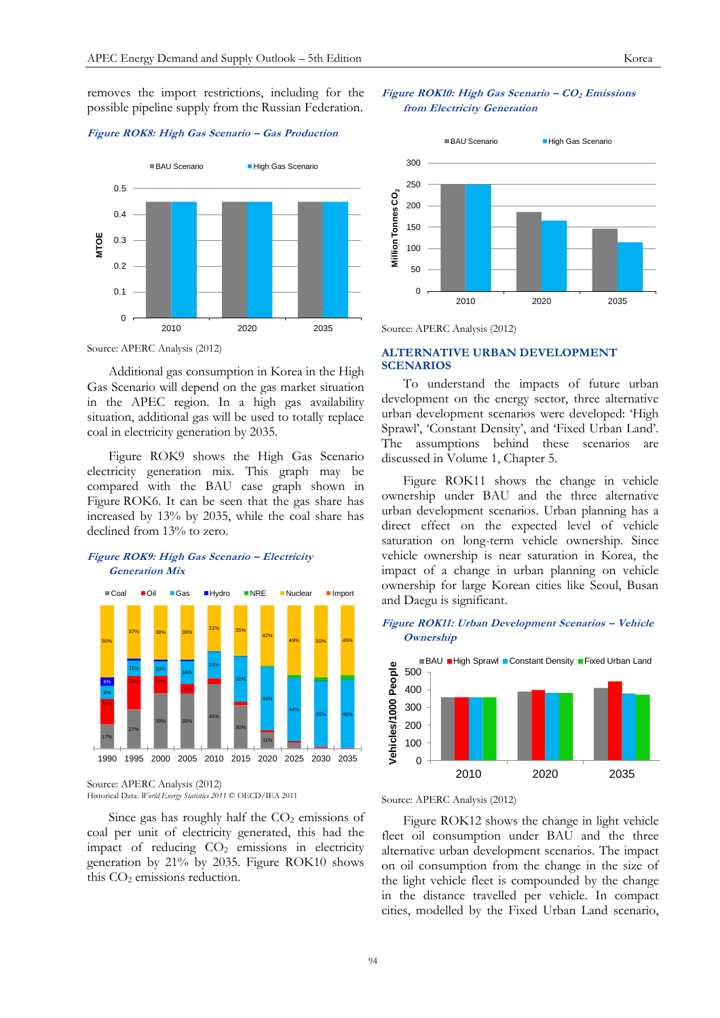removes the import restrictions, including for the possible pipeline supply from the Russian Federation.

## **Figure ROK8: High Gas Scenario – Gas Production**



Source: APERC Analysis (2012)

Additional gas consumption in Korea in the High Gas Scenario will depend on the gas market situation in the APEC region. In a high gas availability situation, additional gas will be used to totally replace coal in electricity generation by 2035.

Figure ROK9 shows the High Gas Scenario electricity generation mix. This graph may be compared with the BAU case graph shown in Figure ROK6. It can be seen that the gas share has increased by 13% by 2035, while the coal share has declined from 13% to zero.

# **Figure ROK9: High Gas Scenario – Electricity Generation Mix**



Source: APERC Analysis (2012) Historical Data: *World Energy Statistics 2011* © OECD/IEA 2011

Since gas has roughly half the  $CO<sub>2</sub>$  emissions of coal per unit of electricity generated, this had the impact of reducing  $CO<sub>2</sub>$  emissions in electricity generation by 21% by 2035. Figure ROK10 shows this  $CO<sub>2</sub>$  emissions reduction.

## **Figure ROK10: High Gas Scenario – CO<sup>2</sup> Emissions from Electricity Generation**



Source: APERC Analysis (2012)

# **ALTERNATIVE URBAN DEVELOPMENT SCENARIOS**

To understand the impacts of future urban development on the energy sector, three alternative urban development scenarios were developed: 'High Sprawl', 'Constant Density', and 'Fixed Urban Land'. The assumptions behind these scenarios discussed in Volume 1, Chapter 5.

Figure ROK11 shows the change in vehicle ownership under BAU and the three alternative urban development scenarios. Urban planning has a direct effect on the expected level of vehicle saturation on long-term vehicle ownership. Since vehicle ownership is near saturation in Korea, the impact of a change in urban planning on vehicle ownership for large Korean cities like Seoul, Busan and Daegu is significant.

## **Figure ROK11: Urban Development Scenarios – Vehicle Ownership**



Source: APERC Analysis (2012)

Figure ROK12 shows the change in light vehicle fleet oil consumption under BAU and the three alternative urban development scenarios. The impact on oil consumption from the change in the size of the light vehicle fleet is compounded by the change in the distance travelled per vehicle. In compact cities, modelled by the Fixed Urban Land scenario,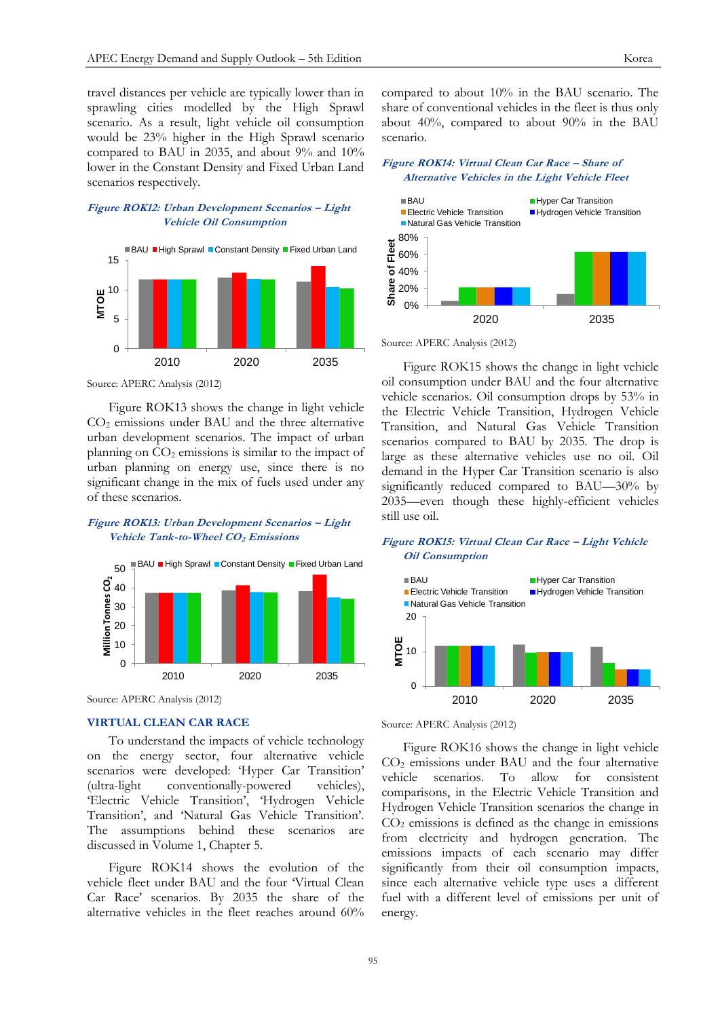travel distances per vehicle are typically lower than in sprawling cities modelled by the High Sprawl scenario. As a result, light vehicle oil consumption would be 23% higher in the High Sprawl scenario compared to BAU in 2035, and about 9% and 10% lower in the Constant Density and Fixed Urban Land scenarios respectively.

## **Figure ROK12: Urban Development Scenarios – Light Vehicle Oil Consumption**



Source: APERC Analysis (2012)

Figure ROK13 shows the change in light vehicle  $CO<sub>2</sub>$  emissions under BAU and the three alternative urban development scenarios. The impact of urban planning on  $CO<sub>2</sub>$  emissions is similar to the impact of urban planning on energy use, since there is no significant change in the mix of fuels used under any of these scenarios.

# **Figure ROK13: Urban Development Scenarios – Light Vehicle Tank-to-Wheel CO2 Emissions**



Source: APERC Analysis (2012)

#### **VIRTUAL CLEAN CAR RACE**

To understand the impacts of vehicle technology on the energy sector, four alternative vehicle scenarios were developed: 'Hyper Car Transition' (ultra-light conventionally-powered vehicles), 'Electric Vehicle Transition', 'Hydrogen Vehicle Transition', and 'Natural Gas Vehicle Transition'. The assumptions behind these scenarios are discussed in Volume 1, Chapter 5.

Figure ROK14 shows the evolution of the vehicle fleet under BAU and the four 'Virtual Clean Car Race' scenarios. By 2035 the share of the alternative vehicles in the fleet reaches around 60%

compared to about 10% in the BAU scenario. The share of conventional vehicles in the fleet is thus only about 40%, compared to about 90% in the BAU scenario.

#### **Figure ROK14: Virtual Clean Car Race – Share of Alternative Vehicles in the Light Vehicle Fleet**



Source: APERC Analysis (2012)

Figure ROK15 shows the change in light vehicle oil consumption under BAU and the four alternative vehicle scenarios. Oil consumption drops by 53% in the Electric Vehicle Transition, Hydrogen Vehicle Transition, and Natural Gas Vehicle Transition scenarios compared to BAU by 2035. The drop is large as these alternative vehicles use no oil. Oil demand in the Hyper Car Transition scenario is also significantly reduced compared to BAU—30% by 2035—even though these highly-efficient vehicles still use oil.

## **Figure ROK15: Virtual Clean Car Race – Light Vehicle Oil Consumption**





Figure ROK16 shows the change in light vehicle CO<sup>2</sup> emissions under BAU and the four alternative vehicle scenarios. To allow for consistent comparisons, in the Electric Vehicle Transition and Hydrogen Vehicle Transition scenarios the change in  $CO<sub>2</sub>$  emissions is defined as the change in emissions from electricity and hydrogen generation. The emissions impacts of each scenario may differ significantly from their oil consumption impacts, since each alternative vehicle type uses a different fuel with a different level of emissions per unit of energy.